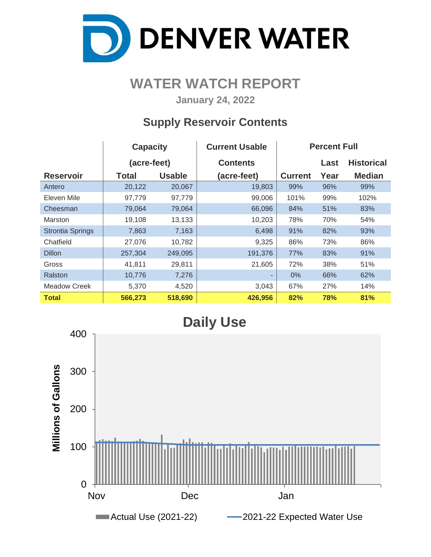

## **WATER WATCH REPORT**

**January 24, 2022**

## **Supply Reservoir Contents**

|                         | <b>Capacity</b> |               | <b>Current Usable</b> | <b>Percent Full</b> |      |                   |  |  |  |
|-------------------------|-----------------|---------------|-----------------------|---------------------|------|-------------------|--|--|--|
|                         | (acre-feet)     |               | <b>Contents</b>       |                     | Last | <b>Historical</b> |  |  |  |
| <b>Reservoir</b>        | <b>Total</b>    | <b>Usable</b> | (acre-feet)           | <b>Current</b>      | Year | <b>Median</b>     |  |  |  |
| Antero                  | 20,122          | 20,067        | 19,803                | 99%                 | 96%  | 99%               |  |  |  |
| Eleven Mile             | 97,779          | 97,779        | 99,006                | 101%                | 99%  | 102%              |  |  |  |
| Cheesman                | 79,064          | 79,064        | 66,096                | 84%                 | 51%  | 83%               |  |  |  |
| <b>Marston</b>          | 19,108          | 13,133        | 10,203                | 78%                 | 70%  | 54%               |  |  |  |
| <b>Strontia Springs</b> | 7,863           | 7,163         | 6,498                 | 91%                 | 82%  | 93%               |  |  |  |
| Chatfield               | 27,076          | 10,782        | 9,325                 | 86%                 | 73%  | 86%               |  |  |  |
| <b>Dillon</b>           | 257,304         | 249,095       | 191,376               | 77%                 | 83%  | 91%               |  |  |  |
| Gross                   | 41,811          | 29,811        | 21,605                | 72%                 | 38%  | 51%               |  |  |  |
| Ralston                 | 10,776          | 7,276         | ٠                     | $0\%$               | 66%  | 62%               |  |  |  |
| Meadow Creek            | 5,370           | 4,520         | 3,043                 | 67%                 | 27%  | 14%               |  |  |  |
| <b>Total</b>            | 566,273         | 518,690       | 426,956               | 82%                 | 78%  | 81%               |  |  |  |

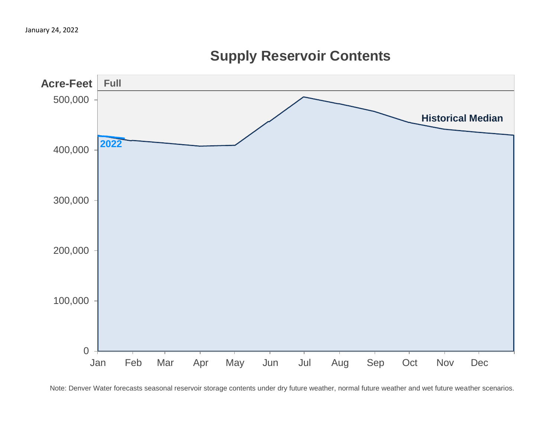

# **Supply Reservoir Contents**

Note: Denver Water forecasts seasonal reservoir storage contents under dry future weather, normal future weather and wet future weather scenarios.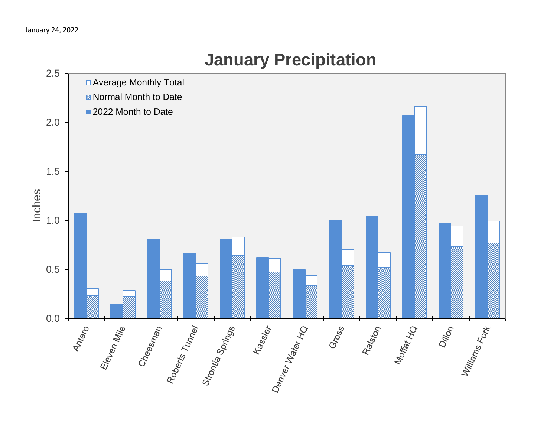

# **January Precipitation**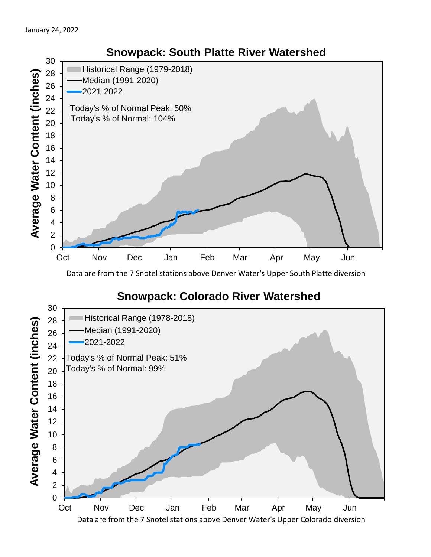

Data are from the 7 Snotel stations above Denver Water's Upper South Platte diversion

### **Snowpack: Colorado River Watershed**

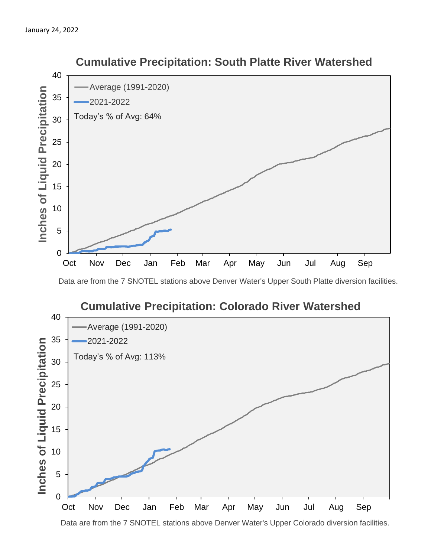

 **Cumulative Precipitation: South Platte River Watershed**

Data are from the 7 SNOTEL stations above Denver Water's Upper South Platte diversion facilities.



Data are from the 7 SNOTEL stations above Denver Water's Upper Colorado diversion facilities.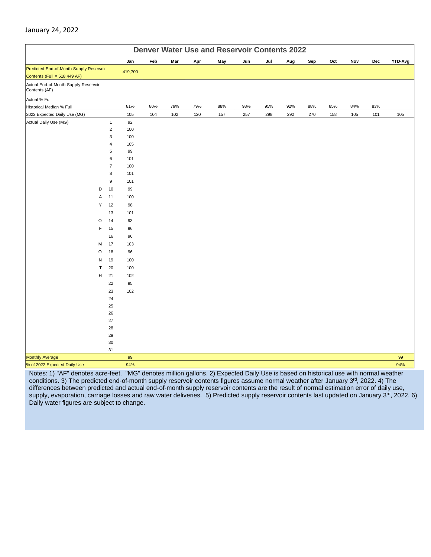#### January 24, 2022

|                                                       | <b>Denver Water Use and Reservoir Contents 2022</b> |                  |           |     |     |     |     |     |     |     |     |     |     |     |                |
|-------------------------------------------------------|-----------------------------------------------------|------------------|-----------|-----|-----|-----|-----|-----|-----|-----|-----|-----|-----|-----|----------------|
|                                                       |                                                     |                  | Jan       | Feb | Mar | Apr | May | Jun | Jul | Aug | Sep | Oct | Nov | Dec | <b>YTD-Avg</b> |
| Predicted End-of-Month Supply Reservoir               |                                                     |                  | 419,700   |     |     |     |     |     |     |     |     |     |     |     |                |
| Contents (Full = 518,449 AF)                          |                                                     |                  |           |     |     |     |     |     |     |     |     |     |     |     |                |
| Actual End-of-Month Supply Reservoir<br>Contents (AF) |                                                     |                  |           |     |     |     |     |     |     |     |     |     |     |     |                |
| Actual % Full                                         |                                                     |                  |           |     |     |     |     |     |     |     |     |     |     |     |                |
| Historical Median % Full                              |                                                     |                  | 81%       | 80% | 79% | 79% | 88% | 98% | 95% | 92% | 88% | 85% | 84% | 83% |                |
| 2022 Expected Daily Use (MG)                          |                                                     |                  | 105       | 104 | 102 | 120 | 157 | 257 | 298 | 292 | 270 | 158 | 105 | 101 | 105            |
| Actual Daily Use (MG)                                 |                                                     | $\mathbf{1}$     | 92        |     |     |     |     |     |     |     |     |     |     |     |                |
|                                                       |                                                     | $\overline{2}$   | 100       |     |     |     |     |     |     |     |     |     |     |     |                |
|                                                       |                                                     | 3                | 100       |     |     |     |     |     |     |     |     |     |     |     |                |
|                                                       |                                                     | $\overline{4}$   | 105       |     |     |     |     |     |     |     |     |     |     |     |                |
|                                                       |                                                     | 5<br>6           | 99<br>101 |     |     |     |     |     |     |     |     |     |     |     |                |
|                                                       |                                                     | $\overline{7}$   | 100       |     |     |     |     |     |     |     |     |     |     |     |                |
|                                                       |                                                     | 8                | 101       |     |     |     |     |     |     |     |     |     |     |     |                |
|                                                       |                                                     | $\boldsymbol{9}$ | 101       |     |     |     |     |     |     |     |     |     |     |     |                |
| D                                                     |                                                     | 10               | 99        |     |     |     |     |     |     |     |     |     |     |     |                |
|                                                       | Α                                                   | 11               | 100       |     |     |     |     |     |     |     |     |     |     |     |                |
|                                                       | Υ                                                   | 12               | 98        |     |     |     |     |     |     |     |     |     |     |     |                |
|                                                       |                                                     | 13               | 101       |     |     |     |     |     |     |     |     |     |     |     |                |
| $\circ$                                               |                                                     | 14               | 93        |     |     |     |     |     |     |     |     |     |     |     |                |
|                                                       | F                                                   | 15               | 96        |     |     |     |     |     |     |     |     |     |     |     |                |
|                                                       |                                                     | 16               | 96        |     |     |     |     |     |     |     |     |     |     |     |                |
| M                                                     |                                                     | 17               | 103       |     |     |     |     |     |     |     |     |     |     |     |                |
| O                                                     |                                                     | 18               | 96        |     |     |     |     |     |     |     |     |     |     |     |                |
| N                                                     |                                                     | 19               | 100       |     |     |     |     |     |     |     |     |     |     |     |                |
|                                                       | T                                                   | 20               | 100       |     |     |     |     |     |     |     |     |     |     |     |                |
| н                                                     |                                                     | 21               | 102       |     |     |     |     |     |     |     |     |     |     |     |                |
|                                                       |                                                     | 22               | 95        |     |     |     |     |     |     |     |     |     |     |     |                |
|                                                       |                                                     | 23               | 102       |     |     |     |     |     |     |     |     |     |     |     |                |
|                                                       |                                                     | 24               |           |     |     |     |     |     |     |     |     |     |     |     |                |
|                                                       |                                                     | 25               |           |     |     |     |     |     |     |     |     |     |     |     |                |
|                                                       |                                                     | 26               |           |     |     |     |     |     |     |     |     |     |     |     |                |
|                                                       |                                                     | 27               |           |     |     |     |     |     |     |     |     |     |     |     |                |
|                                                       |                                                     | 28               |           |     |     |     |     |     |     |     |     |     |     |     |                |
|                                                       |                                                     | 29               |           |     |     |     |     |     |     |     |     |     |     |     |                |
|                                                       |                                                     | $30\,$           |           |     |     |     |     |     |     |     |     |     |     |     |                |
|                                                       |                                                     | 31               |           |     |     |     |     |     |     |     |     |     |     |     |                |
| <b>Monthly Average</b>                                |                                                     |                  | 99<br>94% |     |     |     |     |     |     |     |     |     |     |     | 99<br>94%      |
| % of 2022 Expected Daily Use                          |                                                     |                  |           |     |     |     |     |     |     |     |     |     |     |     |                |

Notes: 1) "AF" denotes acre-feet. "MG" denotes million gallons. 2) Expected Daily Use is based on historical use with normal weather conditions. 3) The predicted end-of-month supply reservoir contents figures assume normal weather after January 3<sup>rd</sup>, 2022. 4) The differences between predicted and actual end-of-month supply reservoir contents are the result of normal estimation error of daily use, supply, evaporation, carriage losses and raw water deliveries. 5) Predicted supply reservoir contents last updated on January 3rd, 2022. 6) Daily water figures are subject to change.